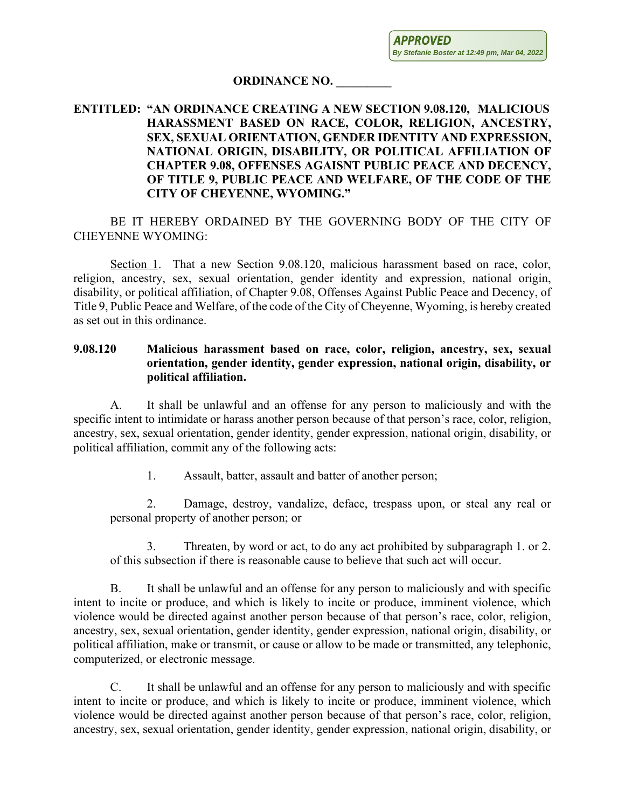**APPROVED By Stefanie Boster at 12:49 pm, Mar 04, 2022**

## **ORDINANCE NO. \_\_\_\_\_\_\_\_\_**

## **ENTITLED: "AN ORDINANCE CREATING A NEW SECTION 9.08.120, MALICIOUS HARASSMENT BASED ON RACE, COLOR, RELIGION, ANCESTRY, SEX, SEXUAL ORIENTATION, GENDER IDENTITY AND EXPRESSION, NATIONAL ORIGIN, DISABILITY, OR POLITICAL AFFILIATION OF CHAPTER 9.08, OFFENSES AGAISNT PUBLIC PEACE AND DECENCY, OF TITLE 9, PUBLIC PEACE AND WELFARE, OF THE CODE OF THE CITY OF CHEYENNE, WYOMING."**

BE IT HEREBY ORDAINED BY THE GOVERNING BODY OF THE CITY OF CHEYENNE WYOMING:

Section 1. That a new Section 9.08.120, malicious harassment based on race, color, religion, ancestry, sex, sexual orientation, gender identity and expression, national origin, disability, or political affiliation, of Chapter 9.08, Offenses Against Public Peace and Decency, of Title 9, Public Peace and Welfare, of the code of the City of Cheyenne, Wyoming, is hereby created as set out in this ordinance.

## **9.08.120 Malicious harassment based on race, color, religion, ancestry, sex, sexual orientation, gender identity, gender expression, national origin, disability, or political affiliation.**

A. It shall be unlawful and an offense for any person to maliciously and with the specific intent to intimidate or harass another person because of that person's race, color, religion, ancestry, sex, sexual orientation, gender identity, gender expression, national origin, disability, or political affiliation, commit any of the following acts:

1. Assault, batter, assault and batter of another person;

2. Damage, destroy, vandalize, deface, trespass upon, or steal any real or personal property of another person; or

3. Threaten, by word or act, to do any act prohibited by subparagraph 1. or 2. of this subsection if there is reasonable cause to believe that such act will occur.

B. It shall be unlawful and an offense for any person to maliciously and with specific intent to incite or produce, and which is likely to incite or produce, imminent violence, which violence would be directed against another person because of that person's race, color, religion, ancestry, sex, sexual orientation, gender identity, gender expression, national origin, disability, or political affiliation, make or transmit, or cause or allow to be made or transmitted, any telephonic, computerized, or electronic message.

C. It shall be unlawful and an offense for any person to maliciously and with specific intent to incite or produce, and which is likely to incite or produce, imminent violence, which violence would be directed against another person because of that person's race, color, religion, ancestry, sex, sexual orientation, gender identity, gender expression, national origin, disability, or